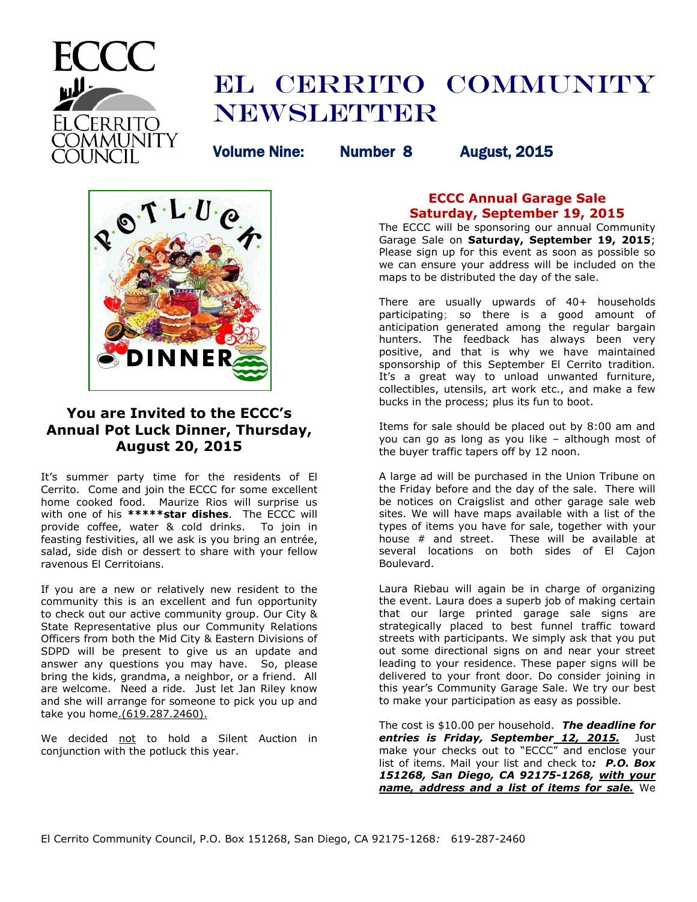

# EL CERRITO COMMUNITY **NEWSLETTER**

Volume Nine: Number 8 August, 2015



# **You are Invited to the ECCC's Annual Pot Luck Dinner, Thursday, August 20, 2015**

It's summer party time for the residents of El Cerrito. Come and join the ECCC for some excellent home cooked food. Maurize Rios will surprise us with one of his **\*\*\*\*\*star dishes**. The ECCC will provide coffee, water & cold drinks. To join in feasting festivities, all we ask is you bring an entrée, salad, side dish or dessert to share with your fellow ravenous El Cerritoians.

If you are a new or relatively new resident to the community this is an excellent and fun opportunity to check out our active community group. Our City & State Representative plus our Community Relations Officers from both the Mid City & Eastern Divisions of SDPD will be present to give us an update and answer any questions you may have. So, please bring the kids, grandma, a neighbor, or a friend. All are welcome. Need a ride. Just let Jan Riley know and she will arrange for someone to pick you up and take you [home.\(619.287.2460\).](http://home.(619.287.2460)/)

We decided not to hold a Silent Auction in conjunction with the potluck this year.

# **ECCC Annual Garage Sale Saturday, September 19, 2015**

The ECCC will be sponsoring our annual Community Garage Sale on **Saturday, September 19, 2015**; Please sign up for this event as soon as possible so we can ensure your address will be included on the maps to be distributed the day of the sale.

There are usually upwards of 40+ households participating; so there is a good amount of anticipation generated among the regular bargain hunters. The feedback has always been very positive, and that is why we have maintained sponsorship of this September El Cerrito tradition. It's a great way to unload unwanted furniture, collectibles, utensils, art work etc., and make a few bucks in the process; plus its fun to boot.

Items for sale should be placed out by 8:00 am and you can go as long as you like – although most of the buyer traffic tapers off by 12 noon.

A large ad will be purchased in the Union Tribune on the Friday before and the day of the sale. There will be notices on Craigslist and other garage sale web sites. We will have maps available with a list of the types of items you have for sale, together with your house # and street. These will be available at several locations on both sides of El Cajon Boulevard.

Laura Riebau will again be in charge of organizing the event. Laura does a superb job of making certain that our large printed garage sale signs are strategically placed to best funnel traffic toward streets with participants. We simply ask that you put out some directional signs on and near your street leading to your residence. These paper signs will be delivered to your front door. Do consider joining in this year's Community Garage Sale. We try our best to make your participation as easy as possible.

The cost is \$10.00 per household. *The deadline for entries is Friday, September 12, 2015.* Just make your checks out to "ECCC" and enclose your list of items. Mail your list and check to*: P.O. Box 151268, San Diego, CA 92175-1268, with your name, address and a list of items for sale.* We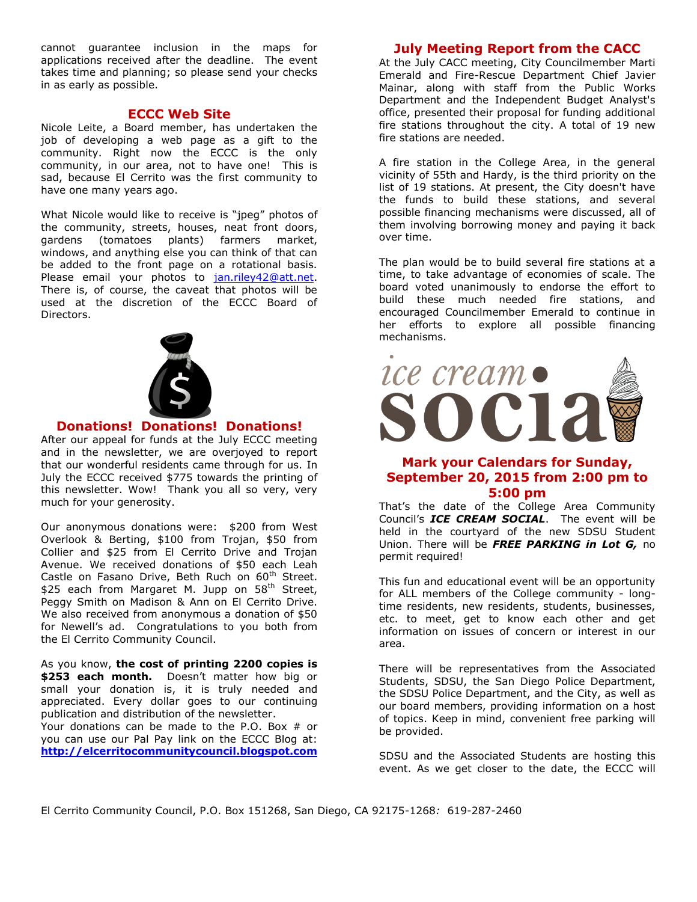cannot guarantee inclusion in the maps for applications received after the deadline. The event takes time and planning; so please send your checks in as early as possible.

#### **ECCC Web Site**

Nicole Leite, a Board member, has undertaken the job of developing a web page as a gift to the community. Right now the ECCC is the only community, in our area, not to have one! This is sad, because El Cerrito was the first community to have one many years ago.

What Nicole would like to receive is "jpeg" photos of the community, streets, houses, neat front doors, gardens (tomatoes plants) farmers market, windows, and anything else you can think of that can be added to the front page on a rotational basis. Please email your photos to [jan.riley42@att.net.](mailto:jan.riley42@att.net) There is, of course, the caveat that photos will be used at the discretion of the ECCC Board of Directors.



## **Donations! Donations! Donations!**

After our appeal for funds at the July ECCC meeting and in the newsletter, we are overjoyed to report that our wonderful residents came through for us. In July the ECCC received \$775 towards the printing of this newsletter. Wow! Thank you all so very, very much for your generosity.

Our anonymous donations were: \$200 from West Overlook & Berting, \$100 from Trojan, \$50 from Collier and \$25 from El Cerrito Drive and Trojan Avenue. We received donations of \$50 each Leah Castle on Fasano Drive, Beth Ruch on 60<sup>th</sup> Street. \$25 each from Margaret M. Jupp on 58<sup>th</sup> Street. Peggy Smith on Madison & Ann on El Cerrito Drive. We also received from anonymous a donation of \$50 for Newell's ad. Congratulations to you both from the El Cerrito Community Council.

As you know, **the cost of printing 2200 copies is \$253 each month.** Doesn't matter how big or small your donation is, it is truly needed and appreciated. Every dollar goes to our continuing publication and distribution of the newsletter. Your donations can be made to the P.O. Box # or you can use our Pal Pay link on the ECCC Blog at:

**[http://elcerritocommunitycouncil.blogspot.com](http://elcerritocommunitycouncil.blogspot.com/)**

# **July Meeting Report from the CACC**

At the July CACC meeting, City Councilmember Marti Emerald and Fire-Rescue Department Chief Javier Mainar, along with staff from the Public Works Department and the Independent Budget Analyst's office, presented their proposal for funding additional fire stations throughout the city. A total of 19 new fire stations are needed.

A fire station in the College Area, in the general vicinity of 55th and Hardy, is the third priority on the list of 19 stations. At present, the City doesn't have the funds to build these stations, and several possible financing mechanisms were discussed, all of them involving borrowing money and paying it back over time.

The plan would be to build several fire stations at a time, to take advantage of economies of scale. The board voted unanimously to endorse the effort to build these much needed fire stations, and encouraged Councilmember Emerald to continue in her efforts to explore all possible financing mechanisms.



# **Mark your Calendars for Sunday, September 20, 2015 from 2:00 pm to 5:00 pm**

That's the date of the College Area Community Council's *ICE CREAM SOCIAL*. The event will be held in the courtyard of the new SDSU Student Union. There will be *FREE PARKING in Lot G,* no permit required!

This fun and educational event will be an opportunity for ALL members of the College community - longtime residents, new residents, students, businesses, etc. to meet, get to know each other and get information on issues of concern or interest in our area.

There will be representatives from the Associated Students, SDSU, the San Diego Police Department, the SDSU Police Department, and the City, as well as our board members, providing information on a host of topics. Keep in mind, convenient free parking will be provided.

SDSU and the Associated Students are hosting this event. As we get closer to the date, the ECCC will

El Cerrito Community Council, P.O. Box 151268, San Diego, CA 92175-1268*:* 619-287-2460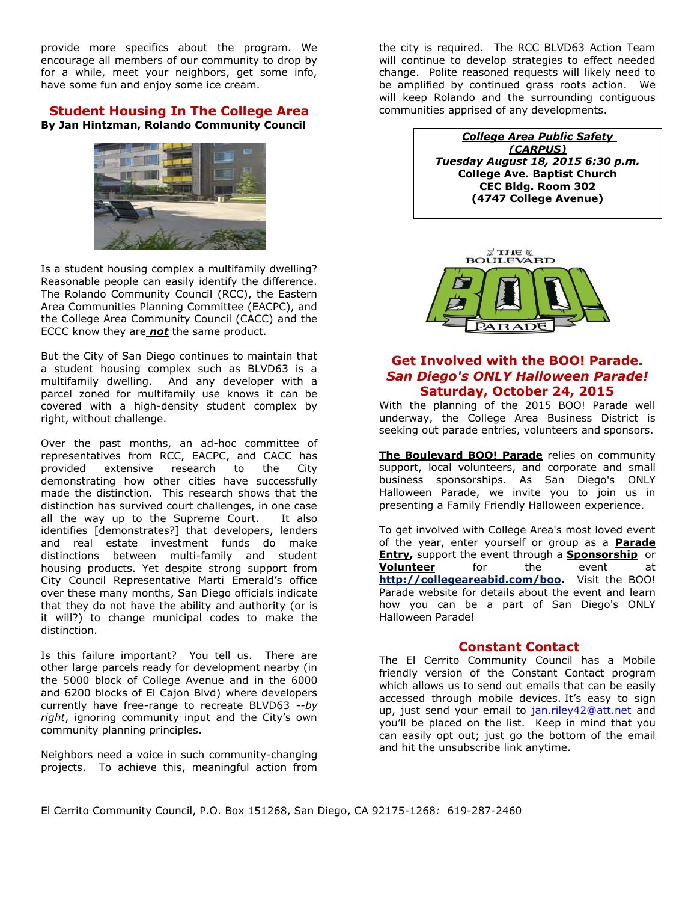provide more specifics about the program. We encourage all members of our community to drop by for a while, meet your neighbors, get some info, have some fun and enjoy some ice cream.

#### **Student Housing In The College Area By Jan Hintzman, Rolando Community Council**



Is a student housing complex a multifamily dwelling? Reasonable people can easily identify the difference. The Rolando Community Council (RCC), the Eastern Area Communities Planning Committee (EACPC), and the College Area Community Council (CACC) and the ECCC know they are *not* the same product.

But the City of San Diego continues to maintain that a student housing complex such as BLVD63 is a multifamily dwelling. And any developer with a parcel zoned for multifamily use knows it can be covered with a high-density student complex by right, without challenge.

Over the past months, an ad-hoc committee of representatives from RCC, EACPC, and CACC has provided extensive research to the City demonstrating how other cities have successfully made the distinction. This research shows that the distinction has survived court challenges, in one case all the way up to the Supreme Court. It also identifies [demonstrates?] that developers, lenders and real estate investment funds do make distinctions between multi-family and student housing products. Yet despite strong support from City Council Representative Marti Emerald's office over these many months, San Diego officials indicate that they do not have the ability and authority (or is it will?) to change municipal codes to make the distinction.

Is this failure important? You tell us. There are other large parcels ready for development nearby (in the 5000 block of College Avenue and in the 6000 and 6200 blocks of El Cajon Blvd) where developers currently have free-range to recreate BLVD63 --*by right*, ignoring community input and the City's own community planning principles.

Neighbors need a voice in such community-changing projects. To achieve this, meaningful action from the city is required. The RCC BLVD63 Action Team will continue to develop strategies to effect needed change. Polite reasoned requests will likely need to be amplified by continued grass roots action. We will keep Rolando and the surrounding contiguous communities apprised of any developments.

> *College Area Public Safety (CARPUS) Tuesday August 18, 2015 6:30 p.m.* **College Ave. Baptist Church CEC Bldg. Room 302 (4747 College Avenue)**



# **Get Involved with the BOO! Parade.** *San Diego's ONLY Halloween Parade!* **Saturday, October 24, 2015**

With the planning of the 2015 BOO! Parade well underway, the College Area Business District is seeking out parade entries, volunteers and sponsors.

**[The Boulevard BOO! Parade](http://r20.rs6.net/tn.jsp?f=001zbNSIlMy32xSvHDM44KNs7x4n8GmeIUYw3G4xPpyswG2XGvyV-exOM3q08K5Dx_uYdAtvHBZd8I-JTgrNBQy54oCnavIOlr5ESFB8F9XuL0u5sy0JPlHuAEWztAv8cBNNuxaxykGUIeyFAwkFQSMdLOZky_riLJQ-Wnr1l9DKwVzuRNpZTR5rw==&c=Jhs6FESCPSZdjmGbRKYDN0P6ousSg2AEPVvlj1qdxkYHc6ItctZXoA==&ch=Lr3SDVTwYC0LPoOJr690Ru8ARrQZZQRrl0wqoc_DEdoyrYmAv9IIIg==)** relies on community support, local volunteers, and corporate and small business sponsorships. As San Diego's ONLY Halloween Parade, we invite you to join us in presenting a Family Friendly Halloween experience.

To get involved with College Area's most loved event of the year, enter yourself or group as a **[Parade](http://r20.rs6.net/tn.jsp?f=001zbNSIlMy32xSvHDM44KNs7x4n8GmeIUYw3G4xPpyswG2XGvyV-exONSikDMA0nu3ihEhtaiJC8AWPYFSikozCam2siceAxryy25dl2ZdPlZMVpYZ9ueOKqOSBpZcrrE0809RlVfEDZ8cZRHaW5tPRjJTrMLRLIW5AsL39A5Odim1I7erx3636m4doigbLAk3LXJd-i0FMzc=&c=Jhs6FESCPSZdjmGbRKYDN0P6ousSg2AEPVvlj1qdxkYHc6ItctZXoA==&ch=Lr3SDVTwYC0LPoOJr690Ru8ARrQZZQRrl0wqoc_DEdoyrYmAv9IIIg==)  [Entry,](http://r20.rs6.net/tn.jsp?f=001zbNSIlMy32xSvHDM44KNs7x4n8GmeIUYw3G4xPpyswG2XGvyV-exONSikDMA0nu3ihEhtaiJC8AWPYFSikozCam2siceAxryy25dl2ZdPlZMVpYZ9ueOKqOSBpZcrrE0809RlVfEDZ8cZRHaW5tPRjJTrMLRLIW5AsL39A5Odim1I7erx3636m4doigbLAk3LXJd-i0FMzc=&c=Jhs6FESCPSZdjmGbRKYDN0P6ousSg2AEPVvlj1qdxkYHc6ItctZXoA==&ch=Lr3SDVTwYC0LPoOJr690Ru8ARrQZZQRrl0wqoc_DEdoyrYmAv9IIIg==)** support the event through a **[Sponsorship](http://r20.rs6.net/tn.jsp?f=001zbNSIlMy32xSvHDM44KNs7x4n8GmeIUYw3G4xPpyswG2XGvyV-exOIdXwsKzkOxu0ZHRRI5yw5lTsei3B7ser1iUWHj8PR11PM5u9I5ySJAY8SbmqWY73Tz8O4270z-Z0usUMO--FaPSp-qbw5wTD6Elb8czdOU-r0iTZhuK-oD8qCRpiw6Tt647T8n8pJdpLkEkNJ_GMFU=&c=Jhs6FESCPSZdjmGbRKYDN0P6ousSg2AEPVvlj1qdxkYHc6ItctZXoA==&ch=Lr3SDVTwYC0LPoOJr690Ru8ARrQZZQRrl0wqoc_DEdoyrYmAv9IIIg==)** or **[Volunteer](http://r20.rs6.net/tn.jsp?f=001zbNSIlMy32xSvHDM44KNs7x4n8GmeIUYw3G4xPpyswG2XGvyV-exONSikDMA0nu31zCu_crNW-_h8-awotkAr2ooqHItTY4LY4oJKO2PjLbZrp5-P7Ber6qkGhhyV_Uz-Qo399Z1DaZxEXiTE3CbLkpmt1WYzRg9077ZiHFQ0dGKDZcc9zsNskm08lgK4GgV12OAj95JcJE=&c=Jhs6FESCPSZdjmGbRKYDN0P6ousSg2AEPVvlj1qdxkYHc6ItctZXoA==&ch=Lr3SDVTwYC0LPoOJr690Ru8ARrQZZQRrl0wqoc_DEdoyrYmAv9IIIg==)** for the event at **[http://collegeareabid.com/boo.](http://collegeareabid.com/boo)** Visit the BOO! Parade website for details about the event and learn how you can be a part of San Diego's ONLY Halloween Parade!

## **Constant Contact**

The El Cerrito Community Council has a Mobile friendly version of the Constant Contact program which allows us to send out emails that can be easily accessed through mobile devices. It's easy to sign up, just send your email to [jan.riley42@att.net](mailto:jan.riley42@att.net) and you'll be placed on the list. Keep in mind that you can easily opt out; just go the bottom of the email and hit the unsubscribe link anytime.

El Cerrito Community Council, P.O. Box 151268, San Diego, CA 92175-1268*:* 619-287-2460